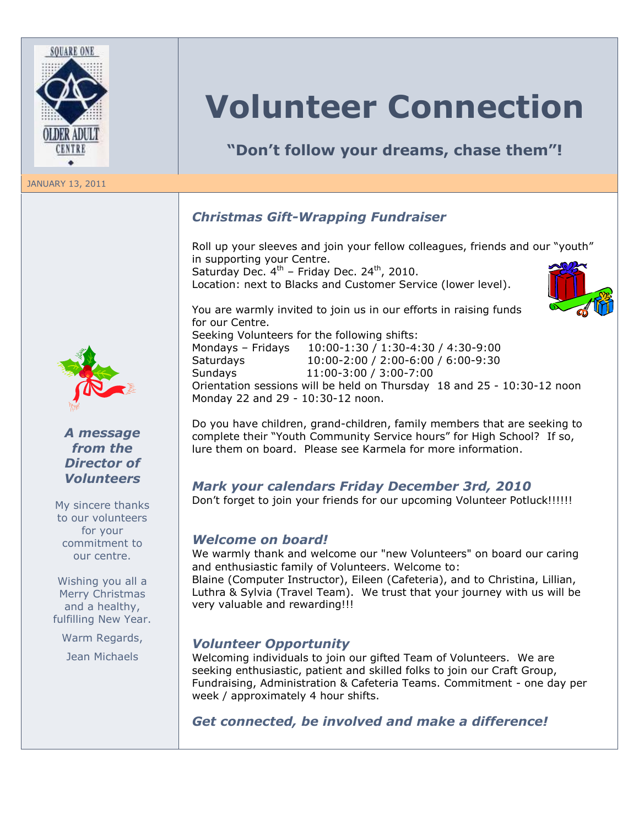

#### JANUARY 13, 2011



## *A message from the Director of Volunteers*

My sincere thanks to our volunteers for your commitment to our centre.

Wishing you all a Merry Christmas and a healthy, fulfilling New Year.

Warm Regards,

Jean Michaels

# **Volunteer Connection**

**"Don't follow your dreams, chase them"!**

# *Christmas Gift-Wrapping Fundraiser*

Roll up your sleeves and join your fellow colleagues, friends and our "youth" in supporting your Centre. Saturday Dec.  $4<sup>th</sup>$  – Friday Dec. 24<sup>th</sup>, 2010. Location: next to Blacks and Customer Service (lower level).

You are warmly invited to join us in our efforts in raising funds for our Centre. Seeking Volunteers for the following shifts: Mondays – Fridays 10:00-1:30 / 1:30-4:30 / 4:30-9:00 Saturdays 10:00-2:00 / 2:00-6:00 / 6:00-9:30 Sundays 11:00-3:00 / 3:00-7:00 Orientation sessions will be held on Thursday 18 and 25 - 10:30-12 noon Monday 22 and 29 - 10:30-12 noon.

Do you have children, grand-children, family members that are seeking to complete their "Youth Community Service hours" for High School? If so, lure them on board. Please see Karmela for more information.

### *Mark your calendars Friday December 3rd, 2010*

Don"t forget to join your friends for our upcoming Volunteer Potluck!!!!!!

### *Welcome on board!*

We warmly thank and welcome our "new Volunteers" on board our caring and enthusiastic family of Volunteers. Welcome to:

Blaine (Computer Instructor), Eileen (Cafeteria), and to Christina, Lillian, Luthra & Sylvia (Travel Team). We trust that your journey with us will be very valuable and rewarding!!!

### *Volunteer Opportunity*

Welcoming individuals to join our gifted Team of Volunteers. We are seeking enthusiastic, patient and skilled folks to join our Craft Group, Fundraising, Administration & Cafeteria Teams. Commitment - one day per week / approximately 4 hour shifts.

# *Get connected, be involved and make a difference!*